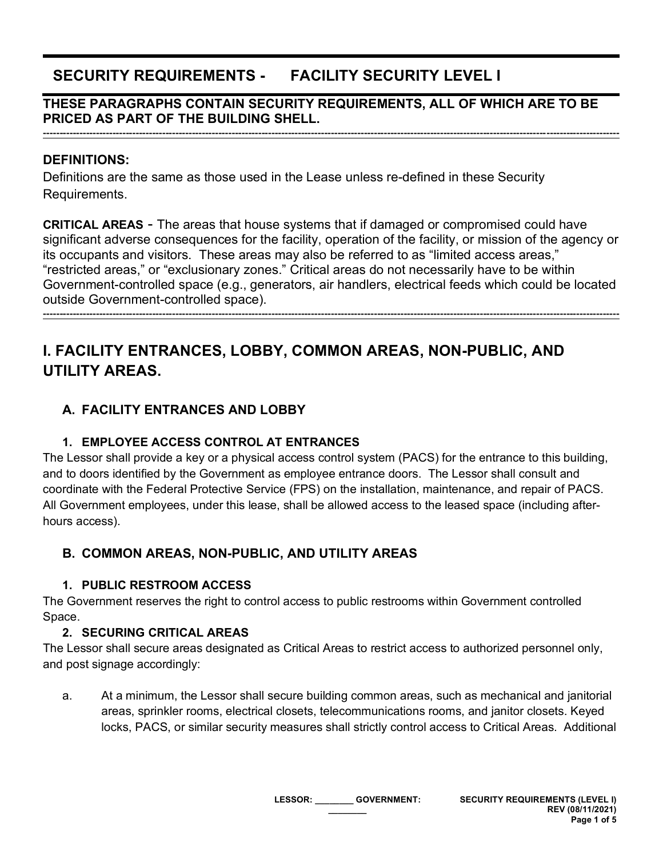# **SECURITY REQUIREMENTS - FACILITY SECURITY LEVEL I**

## **THESE PARAGRAPHS CONTAIN SECURITY REQUIREMENTS, ALL OF WHICH ARE TO BE PRICED AS PART OF THE BUILDING SHELL.**

**------------------------------------------------------------------------------------------------------------------------------------------------------------------------------**

### **DEFINITIONS:**

Definitions are the same as those used in the Lease unless re-defined in these Security Requirements.

**CRITICAL AREAS** - The areas that house systems that if damaged or compromised could have significant adverse consequences for the facility, operation of the facility, or mission of the agency or its occupants and visitors. These areas may also be referred to as "limited access areas," "restricted areas," or "exclusionary zones." Critical areas do not necessarily have to be within Government-controlled space (e.g., generators, air handlers, electrical feeds which could be located outside Government-controlled space).

**------------------------------------------------------------------------------------------------------------------------------------------------------------------------------**

# **I. FACILITY ENTRANCES, LOBBY, COMMON AREAS, NON-PUBLIC, AND UTILITY AREAS.**

## **A. FACILITY ENTRANCES AND LOBBY**

## **1. EMPLOYEE ACCESS CONTROL AT ENTRANCES**

The Lessor shall provide a key or a physical access control system (PACS) for the entrance to this building, and to doors identified by the Government as employee entrance doors. The Lessor shall consult and coordinate with the Federal Protective Service (FPS) on the installation, maintenance, and repair of PACS. All Government employees, under this lease, shall be allowed access to the leased space (including afterhours access).

## **B. COMMON AREAS, NON-PUBLIC, AND UTILITY AREAS**

#### **1. PUBLIC RESTROOM ACCESS**

The Government reserves the right to control access to public restrooms within Government controlled Space.

## **2. SECURING CRITICAL AREAS**

The Lessor shall secure areas designated as Critical Areas to restrict access to authorized personnel only, and post signage accordingly:

a. At a minimum, the Lessor shall secure building common areas, such as mechanical and janitorial areas, sprinkler rooms, electrical closets, telecommunications rooms, and janitor closets. Keyed locks, PACS, or similar security measures shall strictly control access to Critical Areas. Additional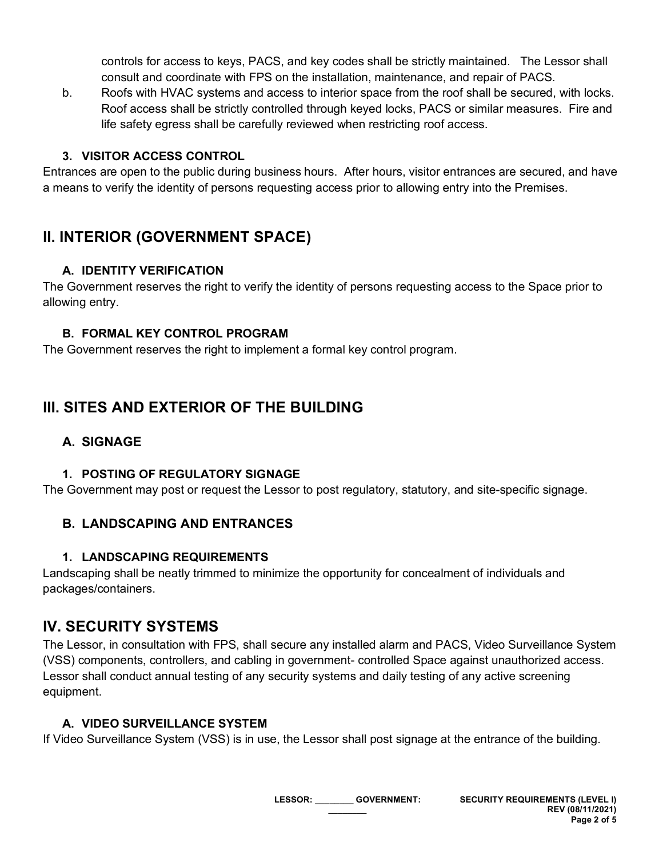controls for access to keys, PACS, and key codes shall be strictly maintained. The Lessor shall consult and coordinate with FPS on the installation, maintenance, and repair of PACS.

b. Roofs with HVAC systems and access to interior space from the roof shall be secured, with locks. Roof access shall be strictly controlled through keyed locks, PACS or similar measures. Fire and life safety egress shall be carefully reviewed when restricting roof access.

#### **3. VISITOR ACCESS CONTROL**

Entrances are open to the public during business hours. After hours, visitor entrances are secured, and have a means to verify the identity of persons requesting access prior to allowing entry into the Premises.

## **II. INTERIOR (GOVERNMENT SPACE)**

#### **A. IDENTITY VERIFICATION**

The Government reserves the right to verify the identity of persons requesting access to the Space prior to allowing entry.

#### **B. FORMAL KEY CONTROL PROGRAM**

The Government reserves the right to implement a formal key control program.

# **III. SITES AND EXTERIOR OF THE BUILDING**

## **A. SIGNAGE**

#### **1. POSTING OF REGULATORY SIGNAGE**

The Government may post or request the Lessor to post regulatory, statutory, and site-specific signage.

## **B. LANDSCAPING AND ENTRANCES**

## **1. LANDSCAPING REQUIREMENTS**

Landscaping shall be neatly trimmed to minimize the opportunity for concealment of individuals and packages/containers.

## **IV. SECURITY SYSTEMS**

The Lessor, in consultation with FPS, shall secure any installed alarm and PACS, Video Surveillance System (VSS) components, controllers, and cabling in government- controlled Space against unauthorized access. Lessor shall conduct annual testing of any security systems and daily testing of any active screening equipment.

## **A. VIDEO SURVEILLANCE SYSTEM**

If Video Surveillance System (VSS) is in use, the Lessor shall post signage at the entrance of the building.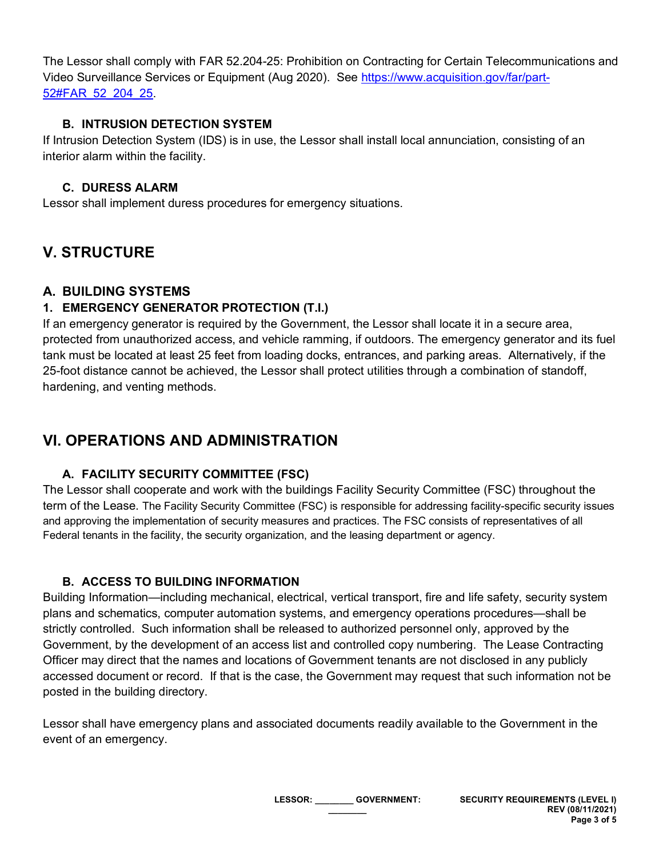The Lessor shall comply with FAR 52.204-25: Prohibition on Contracting for Certain Telecommunications and Video Surveillance Services or Equipment (Aug 2020). See [https://www.acquisition.gov/far/part-](https://www.acquisition.gov/far/part-52#FAR_52_204_25)[52#FAR\\_52\\_204\\_25.](https://www.acquisition.gov/far/part-52#FAR_52_204_25)

#### **B. INTRUSION DETECTION SYSTEM**

If Intrusion Detection System (IDS) is in use, the Lessor shall install local annunciation, consisting of an interior alarm within the facility.

### **C. DURESS ALARM**

Lessor shall implement duress procedures for emergency situations.

# **V. STRUCTURE**

## **A. BUILDING SYSTEMS**

## **1. EMERGENCY GENERATOR PROTECTION (T.I.)**

If an emergency generator is required by the Government, the Lessor shall locate it in a secure area, protected from unauthorized access, and vehicle ramming, if outdoors. The emergency generator and its fuel tank must be located at least 25 feet from loading docks, entrances, and parking areas. Alternatively, if the 25-foot distance cannot be achieved, the Lessor shall protect utilities through a combination of standoff, hardening, and venting methods.

## **VI. OPERATIONS AND ADMINISTRATION**

## **A. FACILITY SECURITY COMMITTEE (FSC)**

The Lessor shall cooperate and work with the buildings Facility Security Committee (FSC) throughout the term of the Lease. The Facility Security Committee (FSC) is responsible for addressing facility-specific security issues and approving the implementation of security measures and practices. The FSC consists of representatives of all Federal tenants in the facility, the security organization, and the leasing department or agency.

## **B. ACCESS TO BUILDING INFORMATION**

Building Information—including mechanical, electrical, vertical transport, fire and life safety, security system plans and schematics, computer automation systems, and emergency operations procedures—shall be strictly controlled. Such information shall be released to authorized personnel only, approved by the Government, by the development of an access list and controlled copy numbering. The Lease Contracting Officer may direct that the names and locations of Government tenants are not disclosed in any publicly accessed document or record. If that is the case, the Government may request that such information not be posted in the building directory.

Lessor shall have emergency plans and associated documents readily available to the Government in the event of an emergency.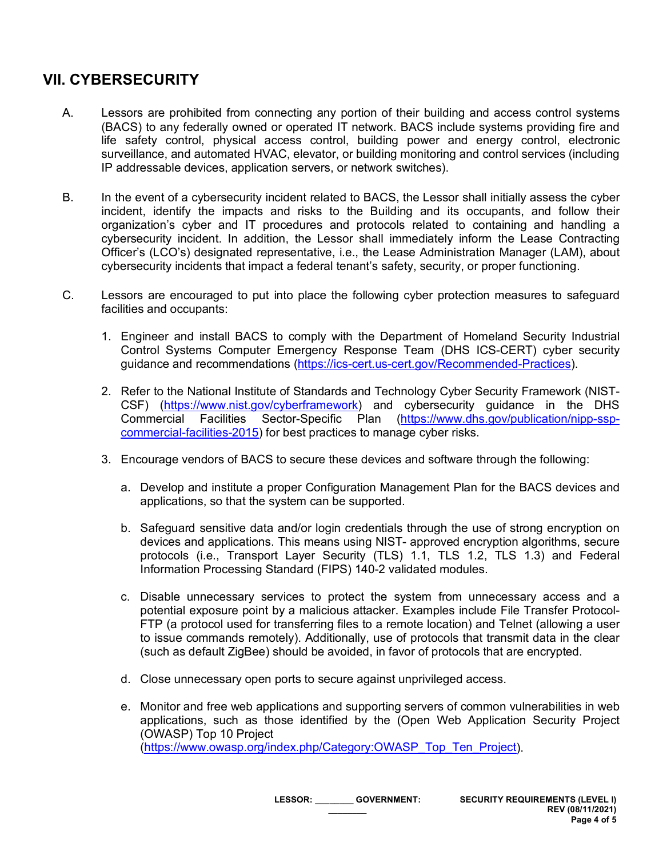# **VII. CYBERSECURITY**

- A. Lessors are prohibited from connecting any portion of their building and access control systems (BACS) to any federally owned or operated IT network. BACS include systems providing fire and life safety control, physical access control, building power and energy control, electronic surveillance, and automated HVAC, elevator, or building monitoring and control services (including IP addressable devices, application servers, or network switches).
- B. In the event of a cybersecurity incident related to BACS, the Lessor shall initially assess the cyber incident, identify the impacts and risks to the Building and its occupants, and follow their organization's cyber and IT procedures and protocols related to containing and handling a cybersecurity incident. In addition, the Lessor shall immediately inform the Lease Contracting Officer's (LCO's) designated representative, i.e., the Lease Administration Manager (LAM), about cybersecurity incidents that impact a federal tenant's safety, security, or proper functioning.
- C. Lessors are encouraged to put into place the following cyber protection measures to safeguard facilities and occupants:
	- 1. Engineer and install BACS to comply with the Department of Homeland Security Industrial Control Systems Computer Emergency Response Team (DHS ICS-CERT) cyber security guidance and recommendations [\(https://ics-cert.us-cert.gov/Recommended-Practices\)](https://ics-cert.us-cert.gov/Recommended-Practices).
	- 2. Refer to the National Institute of Standards and Technology Cyber Security Framework (NIST-CSF) [\(https://www.nist.gov/cyberframework\)](https://www.nist.gov/cyberframework) and cybersecurity guidance in the DHS Commercial Facilities Sector-Specific Plan [\(https://www.dhs.gov/publication/nipp-ssp](https://www.dhs.gov/publication/nipp-ssp-commercial-facilities-2015)[commercial-facilities-2015\)](https://www.dhs.gov/publication/nipp-ssp-commercial-facilities-2015) for best practices to manage cyber risks.
	- 3. Encourage vendors of BACS to secure these devices and software through the following:
		- a. Develop and institute a proper Configuration Management Plan for the BACS devices and applications, so that the system can be supported.
		- b. Safeguard sensitive data and/or login credentials through the use of strong encryption on devices and applications. This means using NIST- approved encryption algorithms, secure protocols (i.e., Transport Layer Security (TLS) 1.1, TLS 1.2, TLS 1.3) and Federal Information Processing Standard (FIPS) 140-2 validated modules.
		- c. Disable unnecessary services to protect the system from unnecessary access and a potential exposure point by a malicious attacker. Examples include File Transfer Protocol-FTP (a protocol used for transferring files to a remote location) and Telnet (allowing a user to issue commands remotely). Additionally, use of protocols that transmit data in the clear (such as default ZigBee) should be avoided, in favor of protocols that are encrypted.
		- d. Close unnecessary open ports to secure against unprivileged access.
		- e. Monitor and free web applications and supporting servers of common vulnerabilities in web applications, such as those identified by the (Open Web Application Security Project (OWASP) Top 10 Project [\(https://www.owasp.org/index.php/Category:OWASP\\_Top\\_Ten\\_Project\)](https://www.owasp.org/index.php/Category:OWASP_Top_Ten_Project).